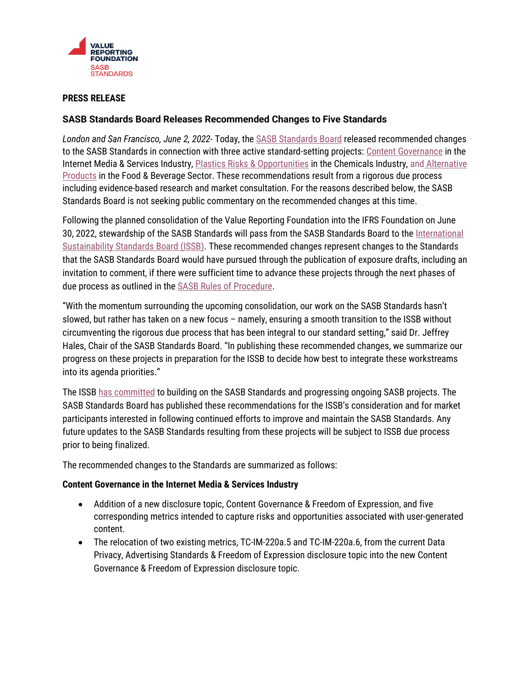

# **PRESS RELEASE**

## **SASB Standards Board Releases Recommended Changes to Five Standards**

*London and San Francisco, June 2, 2022*- Today, the [SASB Standards Board](https://www.sasb.org/about/governance/standards-board/) released recommended changes to the SASB Standards in connection with three active standard-setting projects[: Content Governance](https://www.sasb.org/standards/process/active-projects/content-governance-in-the-internet-media-and-services-industry/) in the Internet Media & Services Industry, [Plastics Risks & Opportunities](https://www.sasb.org/standards/process/active-projects/plastics-risks-and-opportunities-in-pulp-paper-products-and-chemicals-industries/) in the Chemicals Industry, and [Alternative](https://www.sasb.org/standards/process/active-projects/alternative-products-in-food-beverage/)  [Products](https://www.sasb.org/standards/process/active-projects/alternative-products-in-food-beverage/) in the Food & Beverage Sector. These recommendations result from a rigorous due process including evidence-based research and market consultation. For the reasons described below, the SASB Standards Board is not seeking public commentary on the recommended changes at this time.

Following the planned consolidation of the Value Reporting Foundation into the IFRS Foundation on June 30, 2022, stewardship of the SASB Standards will pass from the SASB Standards Board to the [International](https://www.ifrs.org/groups/international-sustainability-standards-board/)  [Sustainability Standards Board \(ISSB\).](https://www.ifrs.org/groups/international-sustainability-standards-board/) These recommended changes represent changes to the Standards that the SASB Standards Board would have pursued through the publication of exposure drafts, including an invitation to comment, if there were sufficient time to advance these projects through the next phases of due process as outlined in th[e SASB Rules of Procedure.](https://www.sasb.org/standards/rules-of-procedure/)

"With the momentum surrounding the upcoming consolidation, our work on the SASB Standards hasn't slowed, but rather has taken on a new focus – namely, ensuring a smooth transition to the ISSB without circumventing the rigorous due process that has been integral to our standard setting," said Dr. Jeffrey Hales, Chair of the SASB Standards Board. "In publishing these recommended changes, we summarize our progress on these projects in preparation for the ISSB to decide how best to integrate these workstreams into its agenda priorities."

The ISS[B has committed](https://www.ifrs.org/news-and-events/news/2022/03/issb-communicates-plans-to-build-on-sasbs-industry-based-standards/) to building on the SASB Standards and progressing ongoing SASB projects. The SASB Standards Board has published these recommendations for the ISSB's consideration and for market participants interested in following continued efforts to improve and maintain the SASB Standards. Any future updates to the SASB Standards resulting from these projects will be subject to ISSB due process prior to being finalized.

The recommended changes to the Standards are summarized as follows:

## **Content Governance in the Internet Media & Services Industry**

- Addition of a new disclosure topic, Content Governance & Freedom of Expression, and five corresponding metrics intended to capture risks and opportunities associated with user-generated content.
- The relocation of two existing metrics, TC-IM-220a.5 and TC-IM-220a.6, from the current Data Privacy, Advertising Standards & Freedom of Expression disclosure topic into the new Content Governance & Freedom of Expression disclosure topic.